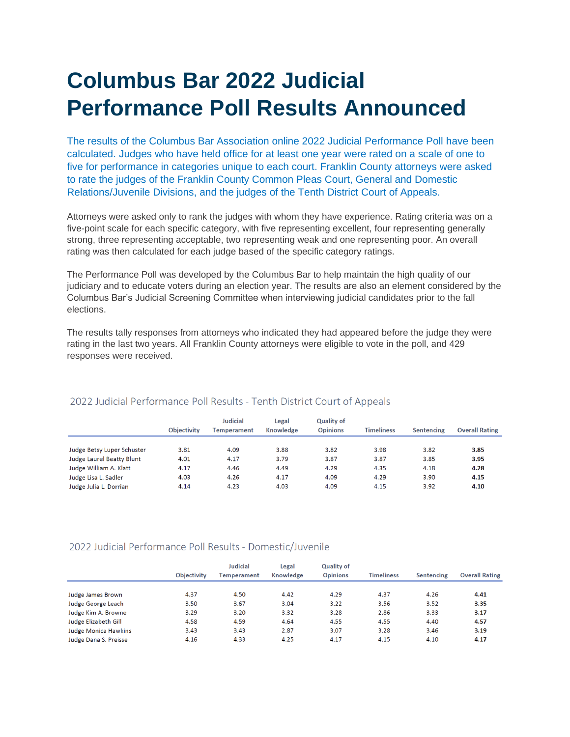## **Columbus Bar 2022 Judicial Performance Poll Results Announced**

The results of the Columbus Bar Association online 2022 Judicial Performance Poll have been calculated. Judges who have held office for at least one year were rated on a scale of one to five for performance in categories unique to each court. Franklin County attorneys were asked to rate the judges of the Franklin County Common Pleas Court, General and Domestic Relations/Juvenile Divisions, and the judges of the Tenth District Court of Appeals.

Attorneys were asked only to rank the judges with whom they have experience. Rating criteria was on a five-point scale for each specific category, with five representing excellent, four representing generally strong, three representing acceptable, two representing weak and one representing poor. An overall rating was then calculated for each judge based of the specific category ratings.

The Performance Poll was developed by the Columbus Bar to help maintain the high quality of our judiciary and to educate voters during an election year. The results are also an element considered by the Columbus Bar's Judicial Screening Committee when interviewing judicial candidates prior to the fall elections.

The results tally responses from attorneys who indicated they had appeared before the judge they were rating in the last two years. All Franklin County attorneys were eligible to vote in the poll, and 429 responses were received.

|                                  | <b>Objectivity</b> | Judicial<br><b>Temperament</b> | Legal<br>Knowledge | <b>Quality of</b><br><b>Opinions</b> | <b>Timeliness</b> | Sentencing | <b>Overall Rating</b> |
|----------------------------------|--------------------|--------------------------------|--------------------|--------------------------------------|-------------------|------------|-----------------------|
|                                  |                    |                                |                    |                                      |                   |            |                       |
| Judge Betsy Luper Schuster       | 3.81               | 4.09                           | 3.88               | 3.82                                 | 3.98              | 3.82       | 3.85                  |
| <b>Judge Laurel Beatty Blunt</b> | 4.01               | 4.17                           | 3.79               | 3.87                                 | 3.87              | 3.85       | 3.95                  |
| Judge William A. Klatt           | 4.17               | 4.46                           | 4.49               | 4.29                                 | 4.35              | 4.18       | 4.28                  |
| Judge Lisa L. Sadler             | 4.03               | 4.26                           | 4.17               | 4.09                                 | 4.29              | 3.90       | 4.15                  |
| Judge Julia L. Dorrian           | 4.14               | 4.23                           | 4.03               | 4.09                                 | 4.15              | 3.92       | 4.10                  |

## 2022 Judicial Performance Poll Results - Tenth District Court of Appeals

## 2022 Judicial Performance Poll Results - Domestic/Juvenile

|                             |                    | <b>Judicial</b><br>Temperament | Legal<br>Knowledge | <b>Quality of</b><br><b>Opinions</b> |                   |            |                       |
|-----------------------------|--------------------|--------------------------------|--------------------|--------------------------------------|-------------------|------------|-----------------------|
|                             | <b>Objectivity</b> |                                |                    |                                      | <b>Timeliness</b> | Sentencing | <b>Overall Rating</b> |
|                             |                    |                                |                    |                                      |                   |            |                       |
| Judge James Brown           | 4.37               | 4.50                           | 4.42               | 4.29                                 | 4.37              | 4.26       | 4.41                  |
| Judge George Leach          | 3.50               | 3.67                           | 3.04               | 3.22                                 | 3.56              | 3.52       | 3.35                  |
| Judge Kim A. Browne         | 3.29               | 3.20                           | 3.32               | 3.28                                 | 2.86              | 3.33       | 3.17                  |
| Judge Elizabeth Gill        | 4.58               | 4.59                           | 4.64               | 4.55                                 | 4.55              | 4.40       | 4.57                  |
| <b>Judge Monica Hawkins</b> | 3.43               | 3.43                           | 2.87               | 3.07                                 | 3.28              | 3.46       | 3.19                  |
| Judge Dana S. Preisse       | 4.16               | 4.33                           | 4.25               | 4.17                                 | 4.15              | 4.10       | 4.17                  |